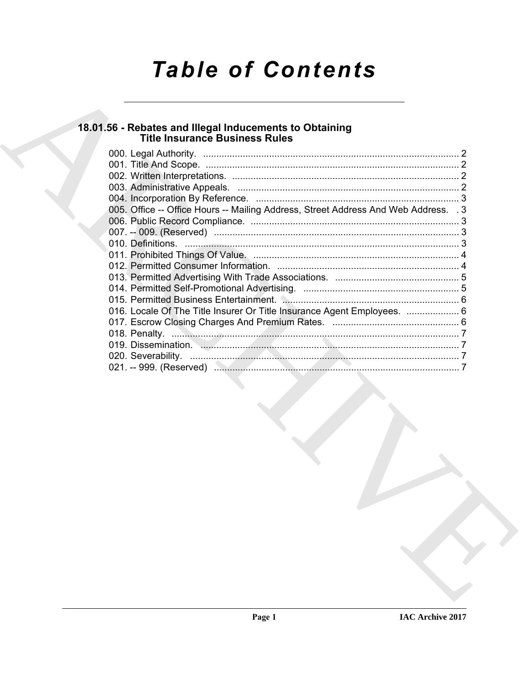# *Table of Contents*

## **18.01.56 - Rebates and Illegal Inducements to Obtaining Title Insurance Business Rules**

| 005. Office -- Office Hours -- Mailing Address, Street Address And Web Address. . 3 |  |
|-------------------------------------------------------------------------------------|--|
|                                                                                     |  |
|                                                                                     |  |
|                                                                                     |  |
|                                                                                     |  |
|                                                                                     |  |
|                                                                                     |  |
|                                                                                     |  |
|                                                                                     |  |
|                                                                                     |  |
|                                                                                     |  |
|                                                                                     |  |
|                                                                                     |  |
|                                                                                     |  |
|                                                                                     |  |
|                                                                                     |  |
|                                                                                     |  |
|                                                                                     |  |
|                                                                                     |  |
|                                                                                     |  |
|                                                                                     |  |
|                                                                                     |  |
|                                                                                     |  |
|                                                                                     |  |
|                                                                                     |  |
|                                                                                     |  |
|                                                                                     |  |
|                                                                                     |  |
|                                                                                     |  |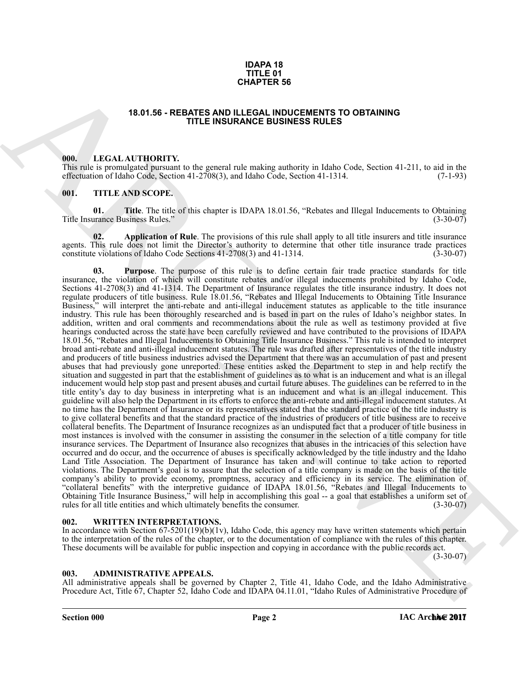#### **IDAPA 18 TITLE 01 CHAPTER 56**

#### **18.01.56 - REBATES AND ILLEGAL INDUCEMENTS TO OBTAINING TITLE INSURANCE BUSINESS RULES**

#### <span id="page-1-1"></span><span id="page-1-0"></span>**000. LEGAL AUTHORITY.**

This rule is promulgated pursuant to the general rule making authority in Idaho Code, Section 41-211, to aid in the effectuation of Idaho Code, Section 41-2708(3), and Idaho Code, Section 41-1314.

#### <span id="page-1-2"></span>**001. TITLE AND SCOPE.**

**01.** Title. The title of this chapter is IDAPA 18.01.56, "Rebates and Illegal Inducements to Obtaining urance Business Rules." (3-30-07) Title Insurance Business Rules.'

**Application of Rule**. The provisions of this rule shall apply to all title insurers and title insurance agents. This rule does not limit the Director's authority to determine that other title insurance trade practices constitute violations of Idaho Code Sections 41-2708(3) and 41-1314. constitute violations of Idaho Code Sections  $41-2708(3)$  and  $41-1314$ .

**CHAPTER 56**<br> **CHAPTER SECTION INTERFERIENCES SURFACES SURFACES SURFACES SURFACES SURFACES SURFACES SURFACES SURFACES SURFACES SURFACES SURFACES SURFACES SURFACES SURFACES SURFACES SURFACES SURFACES SURFACES SURFACES SURF 03. Purpose**. The purpose of this rule is to define certain fair trade practice standards for title insurance, the violation of which will constitute rebates and/or illegal inducements prohibited by Idaho Code, Sections 41-2708(3) and 41-1314. The Department of Insurance regulates the title insurance industry. It does not regulate producers of title business. Rule 18.01.56, "Rebates and Illegal Inducements to Obtaining Title Insurance Business," will interpret the anti-rebate and anti-illegal inducement statutes as applicable to the title insurance industry. This rule has been thoroughly researched and is based in part on the rules of Idaho's neighbor states. In addition, written and oral comments and recommendations about the rule as well as testimony provided at five hearings conducted across the state have been carefully reviewed and have contributed to the provisions of IDAPA 18.01.56, "Rebates and Illegal Inducements to Obtaining Title Insurance Business." This rule is intended to interpret broad anti-rebate and anti-illegal inducement statutes. The rule was drafted after representatives of the title industry and producers of title business industries advised the Department that there was an accumulation of past and present abuses that had previously gone unreported. These entities asked the Department to step in and help rectify the situation and suggested in part that the establishment of guidelines as to what is an inducement and what is an illegal inducement would help stop past and present abuses and curtail future abuses. The guidelines can be referred to in the title entity's day to day business in interpreting what is an inducement and what is an illegal inducement. This guideline will also help the Department in its efforts to enforce the anti-rebate and anti-illegal inducement statutes. At no time has the Department of Insurance or its representatives stated that the standard practice of the title industry is to give collateral benefits and that the standard practice of the industries of producers of title business are to receive collateral benefits. The Department of Insurance recognizes as an undisputed fact that a producer of title business in most instances is involved with the consumer in assisting the consumer in the selection of a title company for title insurance services. The Department of Insurance also recognizes that abuses in the intricacies of this selection have occurred and do occur, and the occurrence of abuses is specifically acknowledged by the title industry and the Idaho Land Title Association. The Department of Insurance has taken and will continue to take action to reported violations. The Department's goal is to assure that the selection of a title company is made on the basis of the title company's ability to provide economy, promptness, accuracy and efficiency in its service. The elimination of "collateral benefits" with the interpretive guidance of IDAPA 18.01.56, "Rebates and Illegal Inducements to Obtaining Title Insurance Business," will help in accomplishing this goal -- a goal that establishes a uniform set of rules for all title entities and which ultimately benefits the consumer. (3-30-07) rules for all title entities and which ultimately benefits the consumer.

#### <span id="page-1-3"></span>**002. WRITTEN INTERPRETATIONS.**

In accordance with Section  $67-5201(19)(b)(1v)$ , Idaho Code, this agency may have written statements which pertain to the interpretation of the rules of the chapter, or to the documentation of compliance with the rules of this chapter. These documents will be available for public inspection and copying in accordance with the public records act.

(3-30-07)

#### <span id="page-1-4"></span>**003. ADMINISTRATIVE APPEALS.**

All administrative appeals shall be governed by Chapter 2, Title 41, Idaho Code, and the Idaho Administrative Procedure Act, Title 67, Chapter 52, Idaho Code and IDAPA 04.11.01, "Idaho Rules of Administrative Procedure of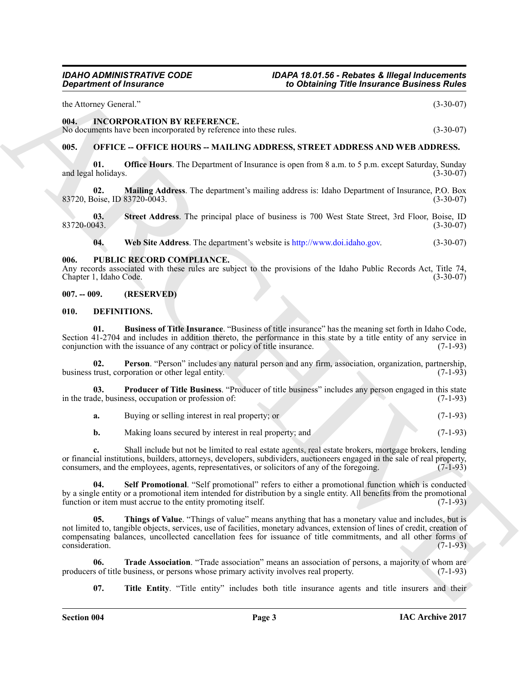the Attorney General." (3-30-07)

#### <span id="page-2-0"></span>**004. INCORPORATION BY REFERENCE.**

No documents have been incorporated by reference into these rules. (3-30-07)

### <span id="page-2-1"></span>**005. OFFICE -- OFFICE HOURS -- MAILING ADDRESS, STREET ADDRESS AND WEB ADDRESS.**

**01. Office Hours**. The Department of Insurance is open from 8 a.m. to 5 p.m. except Saturday, Sunday (1-30-07) and legal holidays.

**02. Mailing Address**. The department's mailing address is: Idaho Department of Insurance, P.O. Box 83720, Boise, ID 83720-0043.

**03.** Street Address. The principal place of business is 700 West State Street, 3rd Floor, Boise, ID<br>(3-30-07) 83720-0043. (3-30-07)

**04. Web Site Address**. The department's website is http://www.doi.idaho.gov. (3-30-07)

#### <span id="page-2-2"></span>**006. PUBLIC RECORD COMPLIANCE.**

Any records associated with these rules are subject to the provisions of the Idaho Public Records Act, Title 74, Chapter 1, Idaho Code. (3-30-07) Chapter 1, Idaho Code.

#### <span id="page-2-3"></span>**007. -- 009. (RESERVED)**

#### <span id="page-2-5"></span><span id="page-2-4"></span>**010. DEFINITIONS.**

<span id="page-2-6"></span>**01. Business of Title Insurance**. "Business of title insurance" has the meaning set forth in Idaho Code, Section 41-2704 and includes in addition thereto, the performance in this state by a title entity of any service in conjunction with the issuance of any contract or policy of title insurance. (7-1-93) conjunction with the issuance of any contract or policy of title insurance.

<span id="page-2-7"></span>**02. Person**. "Person" includes any natural person and any firm, association, organization, partnership, trust, corporation or other legal entity. (7-1-93) business trust, corporation or other legal entity.

**03. Producer of Title Business**. "Producer of title business" includes any person engaged in this state de, business, occupation or profession of:  $(7-1-93)$ in the trade, business, occupation or profession of:

<span id="page-2-8"></span>**a.** Buying or selling interest in real property; or (7-1-93)

<span id="page-2-9"></span>**b.** Making loans secured by interest in real property; and (7-1-93)

**c.** Shall include but not be limited to real estate agents, real estate brokers, mortgage brokers, lending or financial institutions, builders, attorneys, developers, subdividers, auctioneers engaged in the sale of real property, consumers, and the employees, agents, representatives, or solicitors of any of the foregoing. (7-1-93)

<span id="page-2-10"></span>**04. Self Promotional**. "Self promotional" refers to either a promotional function which is conducted by a single entity or a promotional item intended for distribution by a single entity. All benefits from the promotional function or item must accrue to the entity promoting itself. (7-1-93) function or item must accrue to the entity promoting itself.

**Expansion of Insurance Constraints of the United States (2018)**<br>
ARCHIVES (2018)<br>
ARCHIVES (2018)<br>
ARCHIVES (2018)<br>
ARCHIVES (2018)<br>
ARCHIVES (2018)<br>
ARCHIVES (2018)<br>
ARCHIVES (2018)<br>
ARCHIVES (2018)<br>
ARCHIVES (2018)<br>
AR **05. Things of Value**. "Things of value" means anything that has a monetary value and includes, but is not limited to, tangible objects, services, use of facilities, monetary advances, extension of lines of credit, creation of compensating balances, uncollected cancellation fees for issuance of title commitments, and all other forms of consideration. (7-1-93)

**06. Trade Association**. "Trade association" means an association of persons, a majority of whom are s of title business, or persons whose primary activity involves real property. (7-1-93) producers of title business, or persons whose primary activity involves real property.

<span id="page-2-12"></span><span id="page-2-11"></span>**07.** Title Entity. "Title entity" includes both title insurance agents and title insurers and their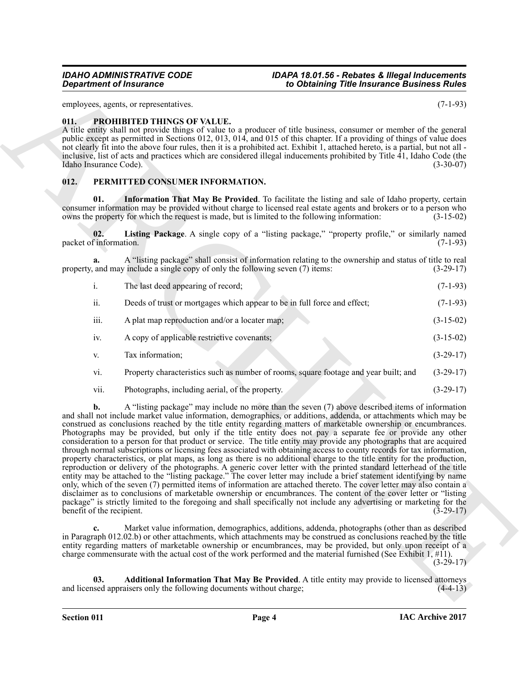employees, agents, or representatives. (7-1-93)

#### <span id="page-3-6"></span><span id="page-3-0"></span>**011. PROHIBITED THINGS OF VALUE.**

A title entity shall not provide things of value to a producer of title business, consumer or member of the general public except as permitted in Sections 012, 013, 014, and 015 of this chapter. If a providing of things of value does not clearly fit into the above four rules, then it is a prohibited act. Exhibit 1, attached hereto, is a partial, but not all inclusive, list of acts and practices which are considered illegal inducements prohibited by Title 41, Idaho Code (the Idaho Insurance Code). (3-30-07)

#### <span id="page-3-2"></span><span id="page-3-1"></span>**012. PERMITTED CONSUMER INFORMATION.**

<span id="page-3-4"></span>**01. Information That May Be Provided**. To facilitate the listing and sale of Idaho property, certain consumer information may be provided without charge to licensed real estate agents and brokers or to a person who owns the property for which the request is made, but is limited to the following information:  $(3-15-02)$ owns the property for which the request is made, but is limited to the following information:

<span id="page-3-5"></span>**02. Listing Package**. A single copy of a "listing package," "property profile," or similarly named packet of information.

**a.** A "listing package" shall consist of information relating to the ownership and status of title to real and may include a single copy of only the following seven (7) items: (3-29-17) property, and may include a single copy of only the following seven  $(7)$  items:

- i. The last deed appearing of record; (7-1-93)
- ii. Deeds of trust or mortgages which appear to be in full force and effect; (7-1-93)
- iii. A plat map reproduction and/or a locater map; (3-15-02)
- iv. A copy of applicable restrictive covenants; (3-15-02)
- v. Tax information; (3-29-17)
- vi. Property characteristics such as number of rooms, square footage and year built; and (3-29-17)
- vii. Photographs, including aerial, of the property. (3-29-17)

**Constraints of Francesco Constraints and the transfer of the transfer of the Constraints and the Constraints and the Constraints and the Constraints of the Constraints of the Constraints of the Constraints of the Constra b.** A "listing package" may include no more than the seven (7) above described items of information and shall not include market value information, demographics, or additions, addenda, or attachments which may be construed as conclusions reached by the title entity regarding matters of marketable ownership or encumbrances. Photographs may be provided, but only if the title entity does not pay a separate fee or provide any other consideration to a person for that product or service. The title entity may provide any photographs that are acquired through normal subscriptions or licensing fees associated with obtaining access to county records for tax information, property characteristics, or plat maps, as long as there is no additional charge to the title entity for the production, reproduction or delivery of the photographs. A generic cover letter with the printed standard letterhead of the title entity may be attached to the "listing package." The cover letter may include a brief statement identifying by name only, which of the seven (7) permitted items of information are attached thereto. The cover letter may also contain a disclaimer as to conclusions of marketable ownership or encumbrances. The content of the cover letter or "listing package" is strictly limited to the foregoing and shall specifically not include any advertising or marketing for the benefit of the recipient. (3-29-17) benefit of the recipient.

**c.** Market value information, demographics, additions, addenda, photographs (other than as described in Paragraph 012.02.b) or other attachments, which attachments may be construed as conclusions reached by the title entity regarding matters of marketable ownership or encumbrances, may be provided, but only upon receipt of a charge commensurate with the actual cost of the work performed and the material furnished (See Exhibit 1,  $\#$ 11).

(3-29-17)

<span id="page-3-3"></span>**03. Additional Information That May Be Provided**. A title entity may provide to licensed attorneys sed appraisers only the following documents without charge: (4-4-13) and licensed appraisers only the following documents without charge;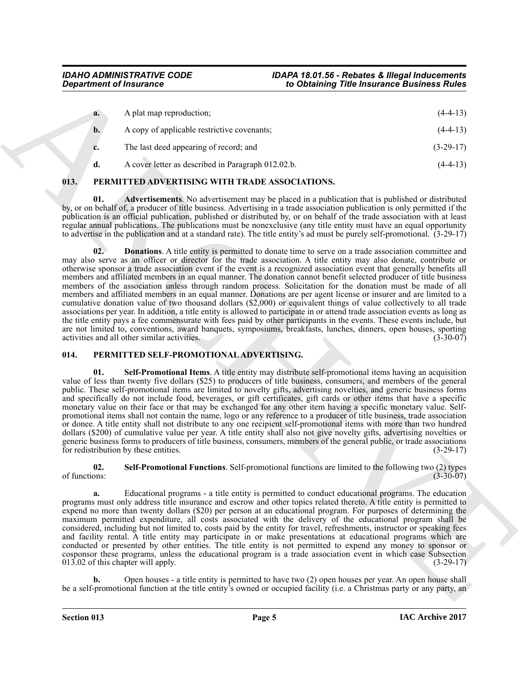| a. | A plat map reproduction;                           | $(4-4-13)$  |
|----|----------------------------------------------------|-------------|
| b. | A copy of applicable restrictive covenants;        | $(4-4-13)$  |
|    | The last deed appearing of record; and             | $(3-29-17)$ |
|    | A cover letter as described in Paragraph 012.02.b. | $(4-4-13)$  |

### <span id="page-4-2"></span><span id="page-4-0"></span>**013. PERMITTED ADVERTISING WITH TRADE ASSOCIATIONS.**

<span id="page-4-4"></span><span id="page-4-3"></span>**01. Advertisements**. No advertisement may be placed in a publication that is published or distributed by, or on behalf of, a producer of title business. Advertising in a trade association publication is only permitted if the publication is an official publication, published or distributed by, or on behalf of the trade association with at least regular annual publications. The publications must be nonexclusive (any title entity must have an equal opportunity to advertise in the publication and at a standard rate). The title entity's ad must be purely self-promotional.  $(3-29-17)$ 

**Expariment of Insurance Complexions.** To Osimining Title Insurance Business Rives (4-1-1)<br>
A Archive of separations.<br>
A Archive of separations of the complexion of the complexion of the complexion of the complexion of th **02. Donations**. A title entity is permitted to donate time to serve on a trade association committee and may also serve as an officer or director for the trade association. A title entity may also donate, contribute or otherwise sponsor a trade association event if the event is a recognized association event that generally benefits all members and affiliated members in an equal manner. The donation cannot benefit selected producer of title business members of the association unless through random process. Solicitation for the donation must be made of all members and affiliated members in an equal manner. Donations are per agent license or insurer and are limited to a cumulative donation value of two thousand dollars (\$2,000) or equivalent things of value collectively to all trade associations per year. In addition, a title entity is allowed to participate in or attend trade association events as long as the title entity pays a fee commensurate with fees paid by other participants in the events. These events include, but are not limited to, conventions, award banquets, symposiums, breakfasts, lunches, dinners, open houses, sporting activities and all other similar activities. (3-30-07) activities and all other similar activities.

### <span id="page-4-5"></span><span id="page-4-1"></span>**014. PERMITTED SELF-PROMOTIONAL ADVERTISING.**

<span id="page-4-7"></span>**01. Self-Promotional Items**. A title entity may distribute self-promotional items having an acquisition value of less than twenty five dollars (\$25) to producers of title business, consumers, and members of the general public. These self-promotional items are limited to novelty gifts, advertising novelties, and generic business forms and specifically do not include food, beverages, or gift certificates, gift cards or other items that have a specific monetary value on their face or that may be exchanged for any other item having a specific monetary value. Selfpromotional items shall not contain the name, logo or any reference to a producer of title business, trade association or donee. A title entity shall not distribute to any one recipient self-promotional items with more than two hundred dollars (\$200) of cumulative value per year. A title entity shall also not give novelty gifts, advertising novelties or generic business forms to producers of title business, consumers, members of the general public, or trade associations for redistribution by these entities. for redistribution by these entities.

<span id="page-4-6"></span>**02.** Self-Promotional Functions. Self-promotional functions are limited to the following two (2) types of functions: (3-30-07) of functions:  $(3-30-07)$ 

**a.** Educational programs - a title entity is permitted to conduct educational programs. The education programs must only address title insurance and escrow and other topics related thereto. A title entity is permitted to expend no more than twenty dollars (\$20) per person at an educational program. For purposes of determining the maximum permitted expenditure, all costs associated with the delivery of the educational program shall be considered, including but not limited to, costs paid by the entity for travel, refreshments, instructor or speaking fees and facility rental. A title entity may participate in or make presentations at educational programs which are conducted or presented by other entities. The title entity is not permitted to expend any money to sponsor or cosponsor these programs, unless the educational program is a trade association event in which case Subsection 013.02 of this chapter will apply. (3-29-17)  $013.02$  of this chapter will apply.

**b.** Open houses - a title entity is permitted to have two (2) open houses per year. An open house shall be a self-promotional function at the title entity's owned or occupied facility (i.e. a Christmas party or any party, an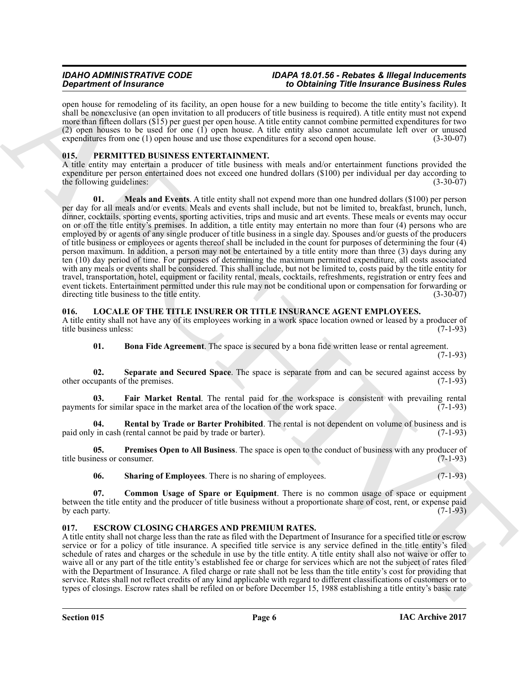open house for remodeling of its facility, an open house for a new building to become the title entity's facility). It shall be nonexclusive (an open invitation to all producers of title business is required). A title entity must not expend more than fifteen dollars (\$15) per guest per open house. A title entity cannot combine permitted expenditures for two (2) open houses to be used for one (1) open house. A title entity also cannot accumulate left over or unused expenditures from one (1) open house and use those expenditures for a second open house. (3-30-07)

### <span id="page-5-12"></span><span id="page-5-0"></span>**015. PERMITTED BUSINESS ENTERTAINMENT.**

<span id="page-5-13"></span>A title entity may entertain a producer of title business with meals and/or entertainment functions provided the expenditure per person entertained does not exceed one hundred dollars (\$100) per individual per day according to the following guidelines:  $(3-30-07)$ 

**Strain of Financesco Construction** 2012 **For Construction** 2012 **For Construction** 2012 **For Construction** 2012 **For Construction** 2013 **For Construction** 2013 **For Construction** 2013 **For Construction** 2013 **For Constr 01.** Meals and Events. A title entity shall not expend more than one hundred dollars (\$100) per person per day for all meals and/or events. Meals and events shall include, but not be limited to, breakfast, brunch, lunch, dinner, cocktails, sporting events, sporting activities, trips and music and art events. These meals or events may occur on or off the title entity's premises. In addition, a title entity may entertain no more than four (4) persons who are employed by or agents of any single producer of title business in a single day. Spouses and/or guests of the producers of title business or employees or agents thereof shall be included in the count for purposes of determining the four (4) person maximum. In addition, a person may not be entertained by a title entity more than three (3) days during any ten (10) day period of time. For purposes of determining the maximum permitted expenditure, all costs associated with any meals or events shall be considered. This shall include, but not be limited to, costs paid by the title entity for travel, transportation, hotel, equipment or facility rental, meals, cocktails, refreshments, registration or entry fees and event tickets. Entertainment permitted under this rule may not be conditional upon or compensation for forwarding or directing title business to the title entity. (3-30-07) directing title business to the title entity.

### <span id="page-5-4"></span><span id="page-5-1"></span>**016. LOCALE OF THE TITLE INSURER OR TITLE INSURANCE AGENT EMPLOYEES.**

A title entity shall not have any of its employees working in a work space location owned or leased by a producer of title business unless: (7-1-93) title business unless:

<span id="page-5-10"></span><span id="page-5-7"></span><span id="page-5-5"></span>**01.** Bona Fide Agreement. The space is secured by a bona fide written lease or rental agreement.

(7-1-93)

**02.** Separate and Secured Space. The space is separate from and can be secured against access by upants of the premises. (7-1-93) other occupants of the premises.

**03.** Fair Market Rental. The rental paid for the workspace is consistent with prevailing rental s for similar space in the market area of the location of the work space. (7-1-93) payments for similar space in the market area of the location of the work space.

<span id="page-5-9"></span>**04. Rental by Trade or Barter Prohibited**. The rental is not dependent on volume of business and is *i* in cash (rental cannot be paid by trade or barter). (7-1-93) paid only in cash (rental cannot be paid by trade or barter).

**05. Premises Open to All Business**. The space is open to the conduct of business with any producer of ness or consumer. (7-1-93) title business or consumer.

<span id="page-5-11"></span><span id="page-5-8"></span><span id="page-5-6"></span>**06.** Sharing of Employees. There is no sharing of employees. (7-1-93)

**07. Common Usage of Spare or Equipment**. There is no common usage of space or equipment between the title entity and the producer of title business without a proportionate share of cost, rent, or expense paid by each party.  $(7-1-93)$ 

### <span id="page-5-3"></span><span id="page-5-2"></span>**017. ESCROW CLOSING CHARGES AND PREMIUM RATES.**

A title entity shall not charge less than the rate as filed with the Department of Insurance for a specified title or escrow service or for a policy of title insurance. A specified title service is any service defined in the title entity's filed schedule of rates and charges or the schedule in use by the title entity. A title entity shall also not waive or offer to waive all or any part of the title entity's established fee or charge for services which are not the subject of rates filed with the Department of Insurance. A filed charge or rate shall not be less than the title entity's cost for providing that service. Rates shall not reflect credits of any kind applicable with regard to different classifications of customers or to types of closings. Escrow rates shall be refiled on or before December 15, 1988 establishing a title entity's basic rate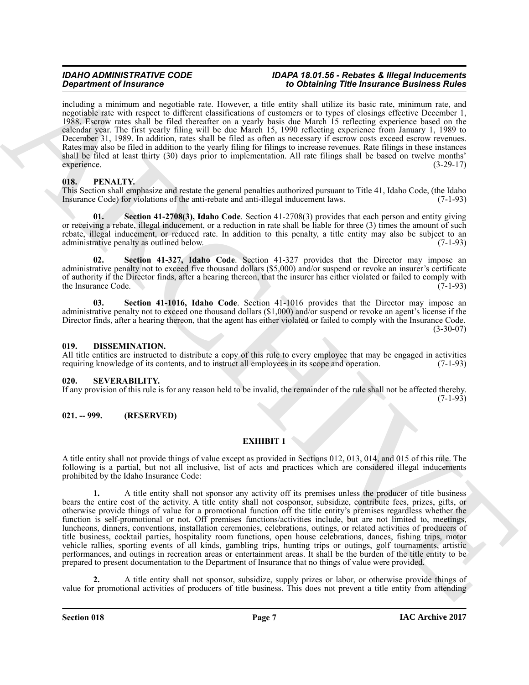including a minimum and negotiable rate. However, a title entity shall utilize its basic rate, minimum rate, and negotiable rate with respect to different classifications of customers or to types of closings effective December 1, 1988. Escrow rates shall be filed thereafter on a yearly basis due March 15 reflecting experience based on the calendar year. The first yearly filing will be due March 15, 1990 reflecting experience from January 1, 1989 to December 31, 1989. In addition, rates shall be filed as often as necessary if escrow costs exceed escrow revenues. Rates may also be filed in addition to the yearly filing for filings to increase revenues. Rate filings in these instances shall be filed at least thirty (30) days prior to implementation. All rate filings shall be based on twelve months' experience. (3-29-17)

### <span id="page-6-4"></span><span id="page-6-0"></span>**018. PENALTY.**

This Section shall emphasize and restate the general penalties authorized pursuant to Title 41, Idaho Code, (the Idaho Insurance Code) for violations of the anti-rebate and anti-illegal inducement laws. (7-1-93) Insurance Code) for violations of the anti-rebate and anti-illegal inducement laws.

<span id="page-6-6"></span>**Section 41-2708(3), Idaho Code**. Section 41-2708(3) provides that each person and entity giving or receiving a rebate, illegal inducement, or a reduction in rate shall be liable for three (3) times the amount of such rebate, illegal inducement, or reduced rate. In addition to this penalty, a title entity may also be subject to an administrative penalty as outlined below. (7-1-93) administrative penalty as outlined below.

<span id="page-6-7"></span>**02. Section 41-327, Idaho Code**. Section 41-327 provides that the Director may impose an administrative penalty not to exceed five thousand dollars (\$5,000) and/or suspend or revoke an insurer's certificate of authority if the Director finds, after a hearing thereon, that the insurer has either violated or failed to comply with the Insurance Code. (7-1-93) the Insurance Code.

<span id="page-6-5"></span>**03. Section 41-1016, Idaho Code**. Section 41-1016 provides that the Director may impose an administrative penalty not to exceed one thousand dollars (\$1,000) and/or suspend or revoke an agent's license if the Director finds, after a hearing thereon, that the agent has either violated or failed to comply with the Insurance Code.  $(3-30-07)$ 

#### <span id="page-6-1"></span>**019. DISSEMINATION.**

All title entities are instructed to distribute a copy of this rule to every employee that may be engaged in activities requiring knowledge of its contents, and to instruct all employees in its scope and operation. (7-1-93 requiring knowledge of its contents, and to instruct all employees in its scope and operation.

#### <span id="page-6-2"></span>**020. SEVERABILITY.**

If any provision of this rule is for any reason held to be invalid, the remainder of the rule shall not be affected thereby.  $(7-1-93)$ 

### <span id="page-6-3"></span>**021. -- 999. (RESERVED)**

### **EXHIBIT 1**

A title entity shall not provide things of value except as provided in Sections 012, 013, 014, and 015 of this rule. The following is a partial, but not all inclusive, list of acts and practices which are considered illegal inducements prohibited by the Idaho Insurance Code:

**Experiment of Francesco Consideration** in the Consideration of the Brazilian of the Construction of the Construction of the Construction of the Construction of the Construction of the Construction of the Construction of **1.** A title entity shall not sponsor any activity off its premises unless the producer of title business bears the entire cost of the activity. A title entity shall not cosponsor, subsidize, contribute fees, prizes, gifts, or otherwise provide things of value for a promotional function off the title entity's premises regardless whether the function is self-promotional or not. Off premises functions/activities include, but are not limited to, meetings, luncheons, dinners, conventions, installation ceremonies, celebrations, outings, or related activities of producers of title business, cocktail parties, hospitality room functions, open house celebrations, dances, fishing trips, motor vehicle rallies, sporting events of all kinds, gambling trips, hunting trips or outings, golf tournaments, artistic performances, and outings in recreation areas or entertainment areas. It shall be the burden of the title entity to be prepared to present documentation to the Department of Insurance that no things of value were provided.

**2.** A title entity shall not sponsor, subsidize, supply prizes or labor, or otherwise provide things of value for promotional activities of producers of title business. This does not prevent a title entity from attending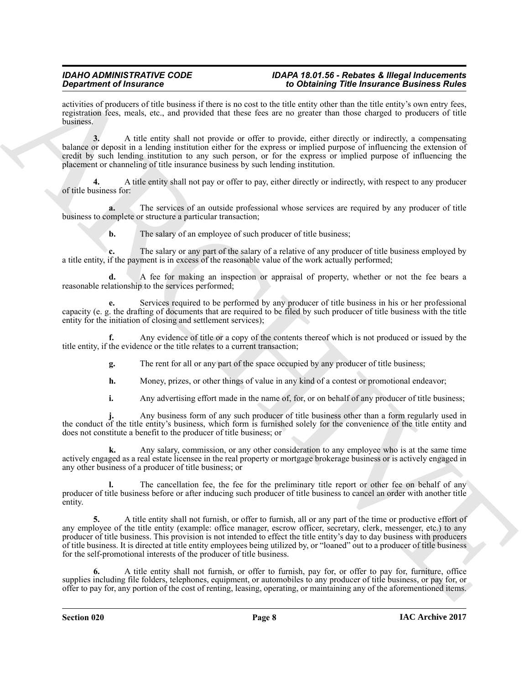activities of producers of title business if there is no cost to the title entity other than the title entity's own entry fees, registration fees, meals, etc., and provided that these fees are no greater than those charged to producers of title business.

**3.** A title entity shall not provide or offer to provide, either directly or indirectly, a compensating balance or deposit in a lending institution either for the express or implied purpose of influencing the extension of credit by such lending institution to any such person, or for the express or implied purpose of influencing the placement or channeling of title insurance business by such lending institution.

**4.** A title entity shall not pay or offer to pay, either directly or indirectly, with respect to any producer of title business for:

**a.** The services of an outside professional whose services are required by any producer of title business to complete or structure a particular transaction;

**b.** The salary of an employee of such producer of title business;

**c.** The salary or any part of the salary of a relative of any producer of title business employed by a title entity, if the payment is in excess of the reasonable value of the work actually performed;

**d.** A fee for making an inspection or appraisal of property, whether or not the fee bears a reasonable relationship to the services performed;

**e.** Services required to be performed by any producer of title business in his or her professional capacity (e. g. the drafting of documents that are required to be filed by such producer of title business with the title entity for the initiation of closing and settlement services);

**f.** Any evidence of title or a copy of the contents thereof which is not produced or issued by the title entity, if the evidence or the title relates to a current transaction;

**g.** The rent for all or any part of the space occupied by any producer of title business;

**h.** Money, prizes, or other things of value in any kind of a contest or promotional endeavor;

**i.** Any advertising effort made in the name of, for, or on behalf of any producer of title business;

**j.** Any business form of any such producer of title business other than a form regularly used in the conduct of the title entity's business, which form is furnished solely for the convenience of the title entity and does not constitute a benefit to the producer of title business; or

**k.** Any salary, commission, or any other consideration to any employee who is at the same time actively engaged as a real estate licensee in the real property or mortgage brokerage business or is actively engaged in any other business of a producer of title business; or

The cancellation fee, the fee for the preliminary title report or other fee on behalf of any producer of title business before or after inducing such producer of title business to cancel an order with another title entity.

**Experiment of Finances Constraints of the based of the based of the finance Euler Constraints of the constraints of the constraints of the constraints of the constraints of the constraints of the constraints of the const 5.** A title entity shall not furnish, or offer to furnish, all or any part of the time or productive effort of any employee of the title entity (example: office manager, escrow officer, secretary, clerk, messenger, etc.) to any producer of title business. This provision is not intended to effect the title entity's day to day business with producers of title business. It is directed at title entity employees being utilized by, or "loaned" out to a producer of title business for the self-promotional interests of the producer of title business.

**6.** A title entity shall not furnish, or offer to furnish, pay for, or offer to pay for, furniture, office supplies including file folders, telephones, equipment, or automobiles to any producer of title business, or pay for, or offer to pay for, any portion of the cost of renting, leasing, operating, or maintaining any of the aforementioned items.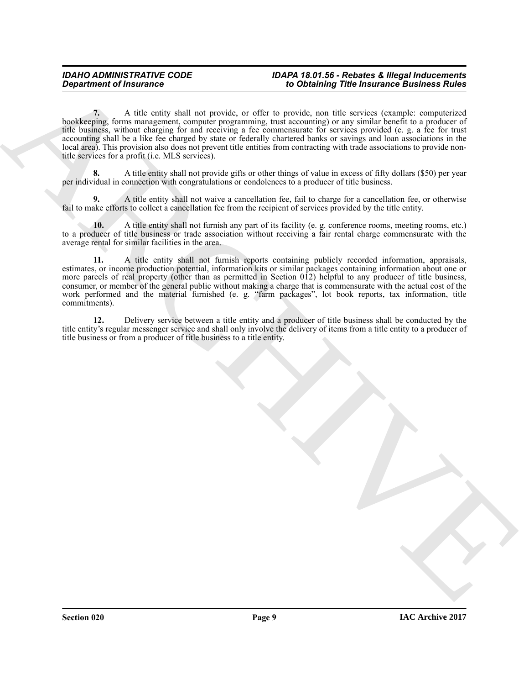**Consideration of financial consideration**  $\mathbf{r}$  is considered to which the proposition of the proposition of the proposition of the proposition of the proposition of the proposition of the proposition of the propositi **7.** A title entity shall not provide, or offer to provide, non title services (example: computerized bookkeeping, forms management, computer programming, trust accounting) or any similar benefit to a producer of title business, without charging for and receiving a fee commensurate for services provided (e. g. a fee for trust accounting shall be a like fee charged by state or federally chartered banks or savings and loan associations in the local area). This provision also does not prevent title entities from contracting with trade associations to provide nontitle services for a profit (i.e. MLS services).

**8.** A title entity shall not provide gifts or other things of value in excess of fifty dollars (\$50) per year per individual in connection with congratulations or condolences to a producer of title business.

**9.** A title entity shall not waive a cancellation fee, fail to charge for a cancellation fee, or otherwise fail to make efforts to collect a cancellation fee from the recipient of services provided by the title entity.

**10.** A title entity shall not furnish any part of its facility (e. g. conference rooms, meeting rooms, etc.) to a producer of title business or trade association without receiving a fair rental charge commensurate with the average rental for similar facilities in the area.

**11.** A title entity shall not furnish reports containing publicly recorded information, appraisals, estimates, or income production potential, information kits or similar packages containing information about one or more parcels of real property (other than as permitted in Section 012) helpful to any producer of title business, consumer, or member of the general public without making a charge that is commensurate with the actual cost of the work performed and the material furnished (e. g. "farm packages", lot book reports, tax information, title commitments).

**12.** Delivery service between a title entity and a producer of title business shall be conducted by the title entity's regular messenger service and shall only involve the delivery of items from a title entity to a producer of title business or from a producer of title business to a title entity.